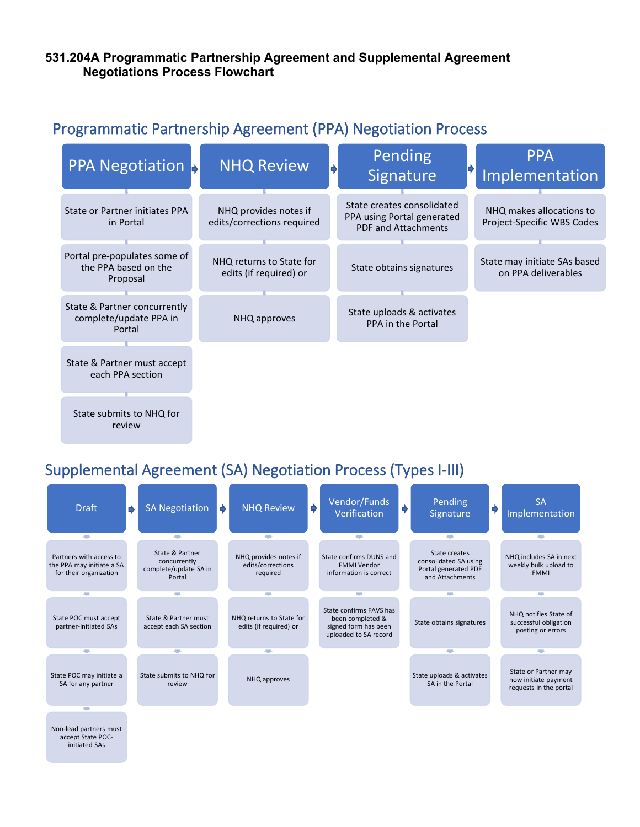## **531.204A Programmatic Partnership Agreement and Supplemental Agreement Negotiations Process Flowchart**

## Programmatic Partnership Agreement (PPA) Negotiation Process



## Supplemental Agreement (SA) Negotiation Process (Types I-III)

initiated SAs

| <b>Draft</b>                                                                   | ♦ | <b>SA Negotiation</b>                                              | ₿ | <b>NHQ Review</b>                                      | ♦ | Vendor/Funds<br>Verification                                                                 | $\Rightarrow$ | Pending<br>Signature                                                              | ♦ | <b>SA</b><br>Implementation                                            |
|--------------------------------------------------------------------------------|---|--------------------------------------------------------------------|---|--------------------------------------------------------|---|----------------------------------------------------------------------------------------------|---------------|-----------------------------------------------------------------------------------|---|------------------------------------------------------------------------|
| <b>College</b>                                                                 |   | <b>College</b>                                                     |   | <b>COL</b>                                             |   | <b>COL</b>                                                                                   |               | <b>College</b>                                                                    |   | <b>COL</b>                                                             |
| Partners with access to<br>the PPA may initiate a SA<br>for their organization |   | State & Partner<br>concurrently<br>complete/update SA in<br>Portal |   | NHQ provides notes if<br>edits/corrections<br>required |   | State confirms DUNS and<br><b>FMMI Vendor</b><br>information is correct                      |               | State creates<br>consolidated SA using<br>Portal generated PDF<br>and Attachments |   | NHQ includes SA in next<br>weekly bulk upload to<br><b>FMMI</b>        |
|                                                                                |   |                                                                    |   |                                                        |   |                                                                                              |               |                                                                                   |   |                                                                        |
| State POC must accept<br>partner-initiated SAs                                 |   | State & Partner must<br>accept each SA section                     |   | NHQ returns to State for<br>edits (if required) or     |   | State confirms FAVS has<br>been completed &<br>signed form has been<br>uploaded to SA record |               | State obtains signatures                                                          |   | NHQ notifies State of<br>successful obligation<br>posting or errors    |
| $\overline{\phantom{a}}$                                                       |   | <b>COL</b>                                                         |   | $\overline{\phantom{a}}$                               |   |                                                                                              |               | e.                                                                                |   | <b>COL</b>                                                             |
| State POC may initiate a<br>SA for any partner                                 |   | State submits to NHQ for<br>review                                 |   | NHQ approves                                           |   |                                                                                              |               | State uploads & activates<br>SA in the Portal                                     |   | State or Partner may<br>now initiate payment<br>requests in the portal |
|                                                                                |   |                                                                    |   |                                                        |   |                                                                                              |               |                                                                                   |   |                                                                        |
| Non-lead partners must<br>accept State POC-                                    |   |                                                                    |   |                                                        |   |                                                                                              |               |                                                                                   |   |                                                                        |